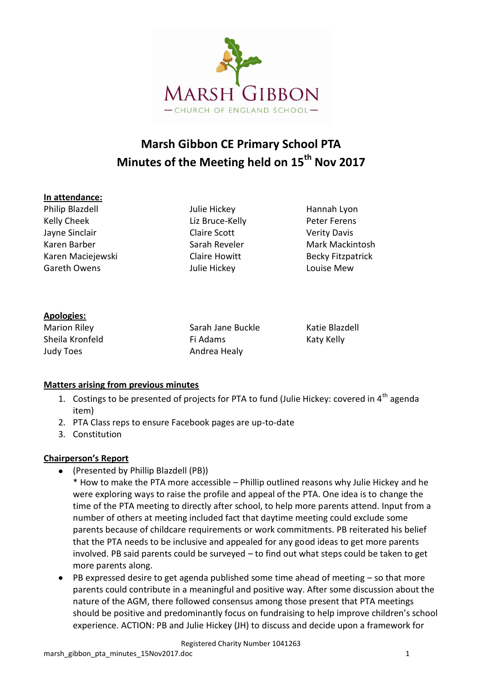

# **Marsh Gibbon CE Primary School PTA Minutes of the Meeting held on 15th Nov 2017**

#### **In attendance:**

Philip Blazdell **Value Hickey** Hannah Lyon Kelly Cheek Liz Bruce-Kelly Peter Ferens Jayne Sinclair Claire Scott Verity Davis Karen Barber Narah Reveler Mark Mackintosh Karen Maciejewski Karen Claire Howitt Becky Fitzpatrick Gareth Owens **Careth Owens** Julie Hickey **Louise Mew** 

# **Apologies:**

Judy Toes **Andrea Healy** 

Marion Riley Sarah Jane Buckle Katie Blazdell Sheila Kronfeld **Fi Adams** Fi Adams Katy Kelly

# **Matters arising from previous minutes**

- 1. Costings to be presented of projects for PTA to fund (Julie Hickey: covered in  $4<sup>th</sup>$  agenda item)
- 2. PTA Class reps to ensure Facebook pages are up-to-date
- 3. Constitution

# **Chairperson's Report**

- (Presented by Phillip Blazdell (PB))
	- \* How to make the PTA more accessible Phillip outlined reasons why Julie Hickey and he were exploring ways to raise the profile and appeal of the PTA. One idea is to change the time of the PTA meeting to directly after school, to help more parents attend. Input from a number of others at meeting included fact that daytime meeting could exclude some parents because of childcare requirements or work commitments. PB reiterated his belief that the PTA needs to be inclusive and appealed for any good ideas to get more parents involved. PB said parents could be surveyed – to find out what steps could be taken to get more parents along.
- PB expressed desire to get agenda published some time ahead of meeting so that more parents could contribute in a meaningful and positive way. After some discussion about the nature of the AGM, there followed consensus among those present that PTA meetings should be positive and predominantly focus on fundraising to help improve children's school experience. ACTION: PB and Julie Hickey (JH) to discuss and decide upon a framework for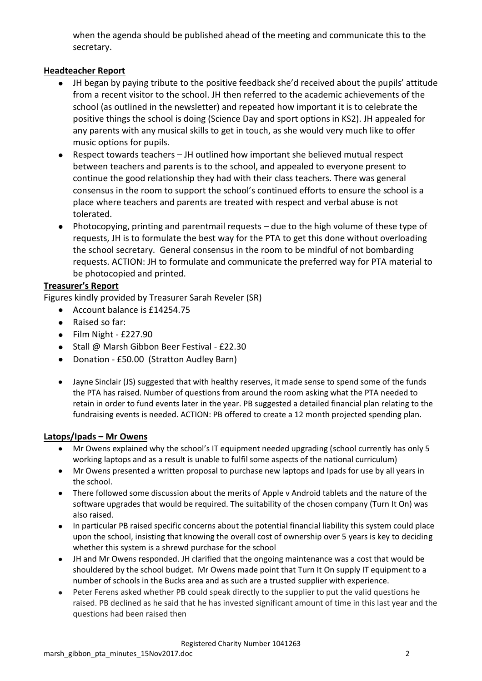when the agenda should be published ahead of the meeting and communicate this to the secretary.

## **Headteacher Report**

- JH began by paying tribute to the positive feedback she'd received about the pupils' attitude from a recent visitor to the school. JH then referred to the academic achievements of the school (as outlined in the newsletter) and repeated how important it is to celebrate the positive things the school is doing (Science Day and sport options in KS2). JH appealed for any parents with any musical skills to get in touch, as she would very much like to offer music options for pupils.
- Respect towards teachers JH outlined how important she believed mutual respect between teachers and parents is to the school, and appealed to everyone present to continue the good relationship they had with their class teachers. There was general consensus in the room to support the school's continued efforts to ensure the school is a place where teachers and parents are treated with respect and verbal abuse is not tolerated.
- Photocopying, printing and parentmail requests due to the high volume of these type of requests, JH is to formulate the best way for the PTA to get this done without overloading the school secretary. General consensus in the room to be mindful of not bombarding requests. ACTION: JH to formulate and communicate the preferred way for PTA material to be photocopied and printed.

#### **Treasurer's Report**

Figures kindly provided by Treasurer Sarah Reveler (SR)

- Account balance is £14254.75
- Raised so far:
- $\bullet$  Film Night £227.90
- Stall @ Marsh Gibbon Beer Festival £22.30
- Donation £50.00 (Stratton Audley Barn)
- Jayne Sinclair (JS) suggested that with healthy reserves, it made sense to spend some of the funds the PTA has raised. Number of questions from around the room asking what the PTA needed to retain in order to fund events later in the year. PB suggested a detailed financial plan relating to the fundraising events is needed. ACTION: PB offered to create a 12 month projected spending plan.

#### **Latops/Ipads – Mr Owens**

- Mr Owens explained why the school's IT equipment needed upgrading (school currently has only 5 working laptops and as a result is unable to fulfil some aspects of the national curriculum)
- Mr Owens presented a written proposal to purchase new laptops and Ipads for use by all years in the school.
- There followed some discussion about the merits of Apple v Android tablets and the nature of the software upgrades that would be required. The suitability of the chosen company (Turn It On) was also raised.
- In particular PB raised specific concerns about the potential financial liability this system could place upon the school, insisting that knowing the overall cost of ownership over 5 years is key to deciding whether this system is a shrewd purchase for the school
- JH and Mr Owens responded. JH clarified that the ongoing maintenance was a cost that would be shouldered by the school budget. Mr Owens made point that Turn It On supply IT equipment to a number of schools in the Bucks area and as such are a trusted supplier with experience.
- Peter Ferens asked whether PB could speak directly to the supplier to put the valid questions he raised. PB declined as he said that he has invested significant amount of time in this last year and the questions had been raised then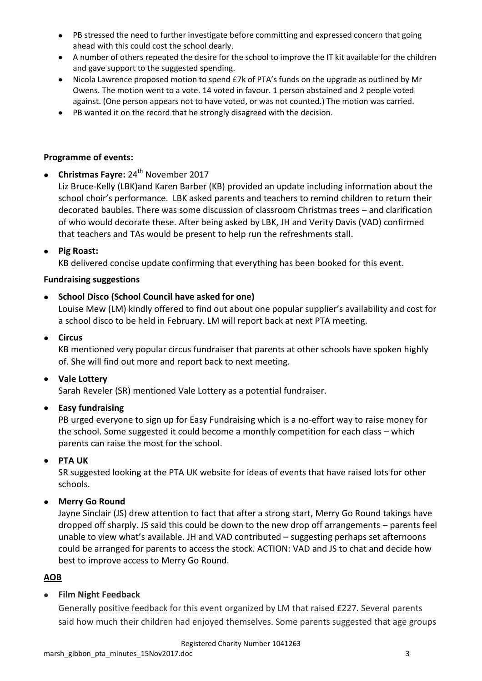- PB stressed the need to further investigate before committing and expressed concern that going ahead with this could cost the school dearly.
- A number of others repeated the desire for the school to improve the IT kit available for the children and gave support to the suggested spending.
- Nicola Lawrence proposed motion to spend £7k of PTA's funds on the upgrade as outlined by Mr Owens. The motion went to a vote. 14 voted in favour. 1 person abstained and 2 people voted against. (One person appears not to have voted, or was not counted.) The motion was carried.
- PB wanted it on the record that he strongly disagreed with the decision.

#### **Programme of events:**

**• Christmas Fayre: 24<sup>th</sup> November 2017** 

Liz Bruce-Kelly (LBK)and Karen Barber (KB) provided an update including information about the school choir's performance. LBK asked parents and teachers to remind children to return their decorated baubles. There was some discussion of classroom Christmas trees – and clarification of who would decorate these. After being asked by LBK, JH and Verity Davis (VAD) confirmed that teachers and TAs would be present to help run the refreshments stall.

**Pig Roast:**

KB delivered concise update confirming that everything has been booked for this event.

#### **Fundraising suggestions**

#### **School Disco (School Council have asked for one)**

Louise Mew (LM) kindly offered to find out about one popular supplier's availability and cost for a school disco to be held in February. LM will report back at next PTA meeting.

**Circus**

KB mentioned very popular circus fundraiser that parents at other schools have spoken highly of. She will find out more and report back to next meeting.

#### **Vale Lottery**

Sarah Reveler (SR) mentioned Vale Lottery as a potential fundraiser.

#### **Easy fundraising**

PB urged everyone to sign up for Easy Fundraising which is a no-effort way to raise money for the school. Some suggested it could become a monthly competition for each class – which parents can raise the most for the school.

#### **PTA UK**

SR suggested looking at the PTA UK website for ideas of events that have raised lots for other schools.

**Merry Go Round**

Jayne Sinclair (JS) drew attention to fact that after a strong start, Merry Go Round takings have dropped off sharply. JS said this could be down to the new drop off arrangements – parents feel unable to view what's available. JH and VAD contributed – suggesting perhaps set afternoons could be arranged for parents to access the stock. ACTION: VAD and JS to chat and decide how best to improve access to Merry Go Round.

#### **AOB**

#### **Film Night Feedback**

Generally positive feedback for this event organized by LM that raised £227. Several parents said how much their children had enjoyed themselves. Some parents suggested that age groups

Registered Charity Number 1041263